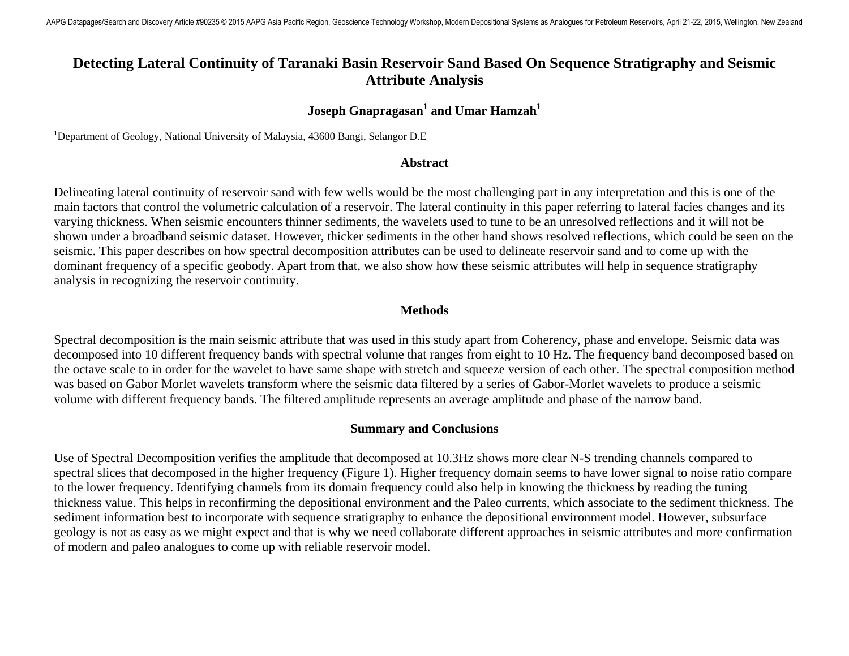# **Detecting Lateral Continuity of Taranaki Basin Reservoir Sand Based On Sequence Stratigraphy and Seismic Attribute Analysis**

## $\bf J$ oseph Gnapragasan $^1$  and Umar Hamzah $^1$

<sup>1</sup>Department of Geology, National University of Malaysia, 43600 Bangi, Selangor D.E

#### **Abstract**

Delineating lateral continuity of reservoir sand with few wells would be the most challenging part in any interpretation and this is one of the main factors that control the volumetric calculation of a reservoir. The lateral continuity in this paper referring to lateral facies changes and its varying thickness. When seismic encounters thinner sediments, the wavelets used to tune to be an unresolved reflections and it will not be shown under a broadband seismic dataset. However, thicker sediments in the other hand shows resolved reflections, which could be seen on the seismic. This paper describes on how spectral decomposition attributes can be used to delineate reservoir sand and to come up with the dominant frequency of a specific geobody. Apart from that, we also show how these seismic attributes will help in sequence stratigraphy analysis in recognizing the reservoir continuity.

### **Methods**

Spectral decomposition is the main seismic attribute that was used in this study apart from Coherency, phase and envelope. Seismic data was decomposed into 10 different frequency bands with spectral volume that ranges from eight to 10 Hz. The frequency band decomposed based on the octave scale to in order for the wavelet to have same shape with stretch and squeeze version of each other. The spectral composition method was based on Gabor Morlet wavelets transform where the seismic data filtered by a series of Gabor-Morlet wavelets to produce a seismic volume with different frequency bands. The filtered amplitude represents an average amplitude and phase of the narrow band.

#### **Summary and Conclusions**

Use of Spectral Decomposition verifies the amplitude that decomposed at 10.3Hz shows more clear N-S trending channels compared to spectral slices that decomposed in the higher frequency (Figure 1). Higher frequency domain seems to have lower signal to noise ratio compare to the lower frequency. Identifying channels from its domain frequency could also help in knowing the thickness by reading the tuning thickness value. This helps in reconfirming the depositional environment and the Paleo currents, which associate to the sediment thickness. The sediment information best to incorporate with sequence stratigraphy to enhance the depositional environment model. However, subsurface geology is not as easy as we might expect and that is why we need collaborate different approaches in seismic attributes and more confirmation of modern and paleo analogues to come up with reliable reservoir model.